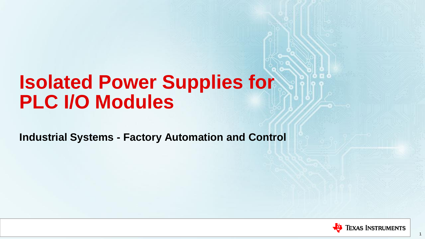# **Isolated Power Supplies for PLC I/O Modules**

<span id="page-0-0"></span>**Industrial Systems - Factory Automation and Control**



1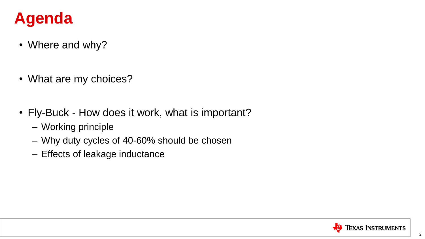### **Agenda**

- Where and why?
- What are my choices?
- Fly-Buck How does it work, what is important?
	- Working principle
	- Why duty cycles of 40-60% should be chosen
	- Effects of leakage inductance

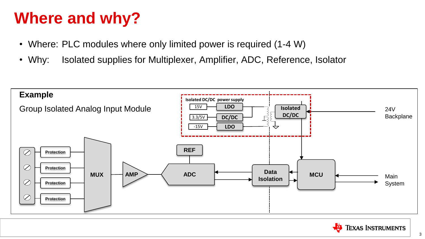### **Where and why?**

- Where: PLC modules where only limited power is required (1-4 W)
- Why: Isolated supplies for Multiplexer, Amplifier, ADC, Reference, Isolator



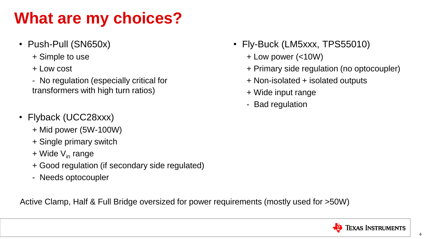### **What are my choices?**

- Push-Pull (SN650x)
	- + Simple to use
	- + Low cost
	- No regulation (especially critical for transformers with high turn ratios)
- Flyback (UCC28xxx)
	- + Mid power (5W-100W)
	- + Single primary switch
	- $+$  Wide  $V_{in}$  range
	- + Good regulation (if secondary side regulated)
	- Needs optocoupler

<span id="page-3-0"></span>Active Clamp, Half & Full Bridge oversized for power requirements (mostly used for >50W)

- Fly-Buck (LM5xxx, TPS55010)
	- + Low power (<10W)
	- + Primary side regulation (no optocoupler)
	- + Non-isolated + isolated outputs
	- + Wide input range
	- Bad regulation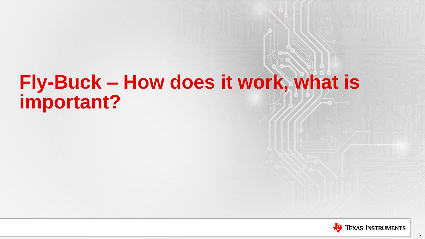# **Fly-Buck – How does it work, what is important?**

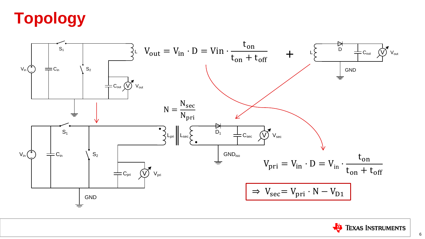# **Topology**



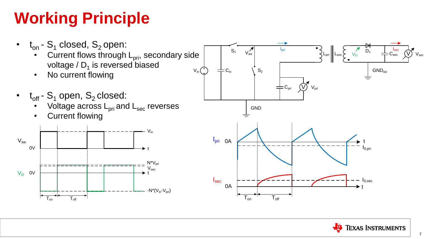### **Working Principle**



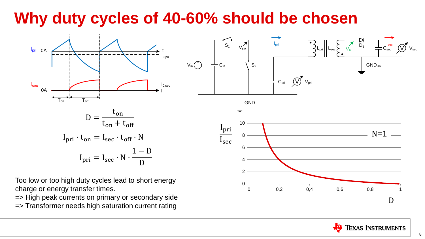### **Why duty cycles of 40-60% should be chosen**



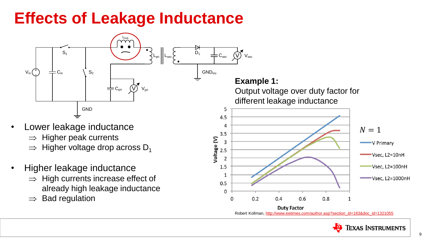### **Effects of Leakage Inductance**



Robert Kollman, [http://www.eetimes.com/author.asp?section\\_id=183&doc\\_id=1321055](http://www.eetimes.com/author.asp?section_id=183&doc_id=1321055)

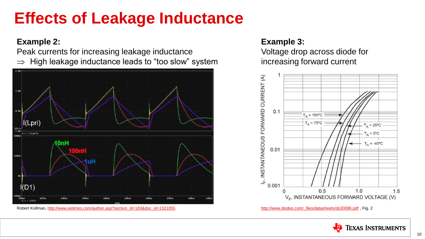### **Effects of Leakage Inductance**

### **Example 2:**

Peak currents for increasing leakage inductance  $\Rightarrow$  High leakage inductance leads to "too slow" system



Robert Kollman, [http://www.eetimes.com/author.asp?section\\_id=183&doc\\_id=1321055](http://www.eetimes.com/author.asp?section_id=183&doc_id=1321055) [http://www.diodes.com/\\_files/datasheets/ds30086.pdf](http://www.diodes.com/_files/datasheets/ds30086.pdf) , Fig. 2

### **Example 3:**

Voltage drop across diode for increasing forward current



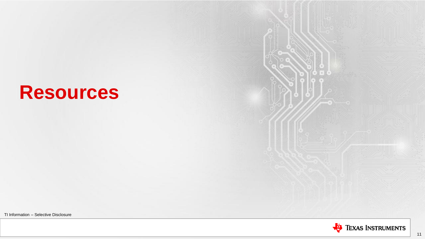## **Resources**

TI Information – Selective Disclosure

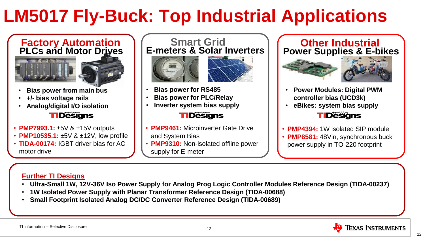# **LM5017 Fly-Buck: Top Industrial Applications**



- **Bias power from main bus**
- **+/- bias voltage rails**
- **Analog/digital I/O isolation**

### **TIDešigns**

- **PMP7993.1:** ±5V & ±15V outputs
- **PMP10535.1:** ±5V & ±12V, low profile
- **TIDA-00174:** IGBT driver bias for AC motor drive

**Smart Grid E-meters & Solar Inverters**





- **Bias power for RS485**
- **Bias power for PLC/Relay**
- **Inverter system bias supply TIDesians**
- **PMP9461:** Microinverter Gate Drive and System Bias
- **PMP9310:** Non-isolated offline power supply for E-meter

### **Other Industrial Power Supplies & E-bikes**





- **Power Modules: Digital PWM controller bias (UCD3k)**
- **eBikes: system bias supply**

#### **TIDešigns**

- **PMP4394:** 1W isolated SIP module
- **PMP8581:** 48Vin, synchronous buck power supply in TO-220 footprint

### **Further TI Designs**

- **Ultra-Small 1W, 12V-36V Iso Power Supply for Analog Prog Logic Controller Modules Reference Design (TIDA-00237)**
- **1W Isolated Power Supply with Planar Transformer Reference Design (TIDA-00688)**
- **Small Footprint Isolated Analog DC/DC Converter Reference Design (TIDA-00689)**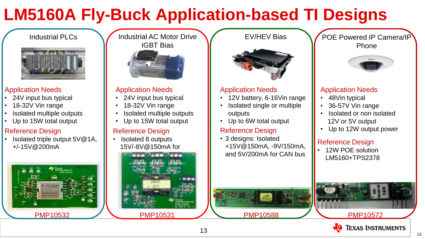# **LM5160A Fly-Buck Application-based TI Designs**



#### Application Needs

- 24V input bus typical
- 18-32V Vin range
- Isolated multiple outputs
- Up to 15W total output

### Reference Design

• Isolated triple output 5V@1A, +/-15V@200mA

#### Industrial PLCs **Industrial AC Motor Drive** IGBT Bias



#### Application Needs

- 24V input bus typical
- 18-32V Vin range
- Isolated multiple outputs
- Up to 15W total output

### Reference Design

• Isolated 8 outputs 15V/-8V@150mA for

 $3-10-10$ 

#### EV/HEV Bias



#### Application Needs

- 12V battery, 6-16Vin range
- Isolated single or multiple outputs
- Up to 6W total output

#### Reference Design

• 3 designs: Isolated +15V@150mA, -9V/150mA, and 5V/200mA for CAN bus

PMP10588

POE Powered IP Camera/IP Phone



#### Application Needs

- 48Vin typical
- 36-57V Vin range
- Isolated or non isolated 12V or 5V output
- Up to 12W output power

#### Reference Design

• 12W POE solution LM5160+TPS2378





13